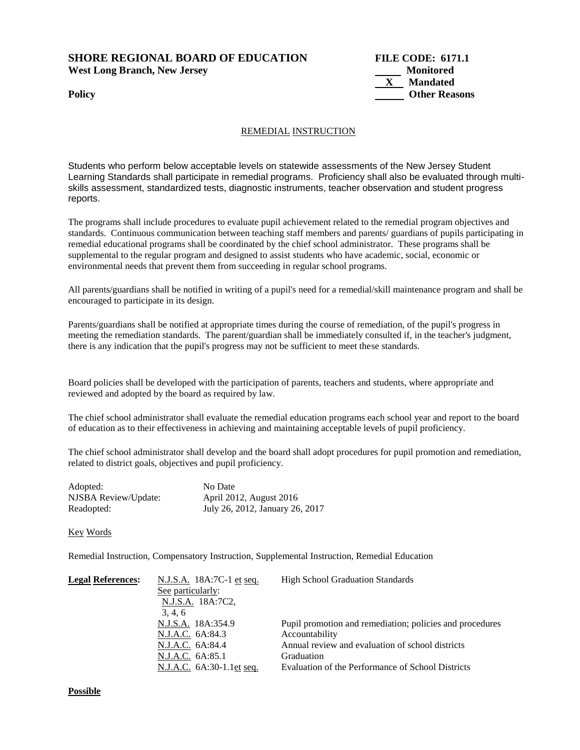## **SHORE REGIONAL BOARD OF EDUCATION FILE CODE: 6171.1**  West Long Branch, New Jersey **Monitored** Monitored



## REMEDIAL INSTRUCTION

Students who perform below acceptable levels on statewide assessments of the New Jersey Student Learning Standards shall participate in remedial programs. Proficiency shall also be evaluated through multiskills assessment, standardized tests, diagnostic instruments, teacher observation and student progress reports.

The programs shall include procedures to evaluate pupil achievement related to the remedial program objectives and standards. Continuous communication between teaching staff members and parents/ guardians of pupils participating in remedial educational programs shall be coordinated by the chief school administrator. These programs shall be supplemental to the regular program and designed to assist students who have academic, social, economic or environmental needs that prevent them from succeeding in regular school programs.

All parents/guardians shall be notified in writing of a pupil's need for a remedial/skill maintenance program and shall be encouraged to participate in its design.

Parents/guardians shall be notified at appropriate times during the course of remediation, of the pupil's progress in meeting the remediation standards. The parent/guardian shall be immediately consulted if, in the teacher's judgment, there is any indication that the pupil's progress may not be sufficient to meet these standards.

Board policies shall be developed with the participation of parents, teachers and students, where appropriate and reviewed and adopted by the board as required by law.

The chief school administrator shall evaluate the remedial education programs each school year and report to the board of education as to their effectiveness in achieving and maintaining acceptable levels of pupil proficiency.

The chief school administrator shall develop and the board shall adopt procedures for pupil promotion and remediation, related to district goals, objectives and pupil proficiency.

| Adopted:             | No Date                         |
|----------------------|---------------------------------|
| NJSBA Review/Update: | April 2012, August 2016         |
| Readopted:           | July 26, 2012, January 26, 2017 |

## Key Words

Remedial Instruction, Compensatory Instruction, Supplemental Instruction, Remedial Education

| <b>Legal References:</b> | <u>N.J.S.A.</u> 18A:7C-1 <u>et seq.</u> | <b>High School Graduation Standards</b>                  |
|--------------------------|-----------------------------------------|----------------------------------------------------------|
|                          | See particularly:                       |                                                          |
|                          | N.J.S.A. 18A:7C2.                       |                                                          |
|                          | 3, 4, 6                                 |                                                          |
|                          | N.J.S.A. 18A:354.9                      | Pupil promotion and remediation; policies and procedures |
|                          | N.J.A.C. 6A:84.3                        | Accountability                                           |
|                          | N.J.A.C. 6A:84.4                        | Annual review and evaluation of school districts         |
|                          | N.J.A.C. 6A:85.1                        | Graduation                                               |
|                          | N.J.A.C. 6A:30-1.1et seq.               | Evaluation of the Performance of School Districts        |